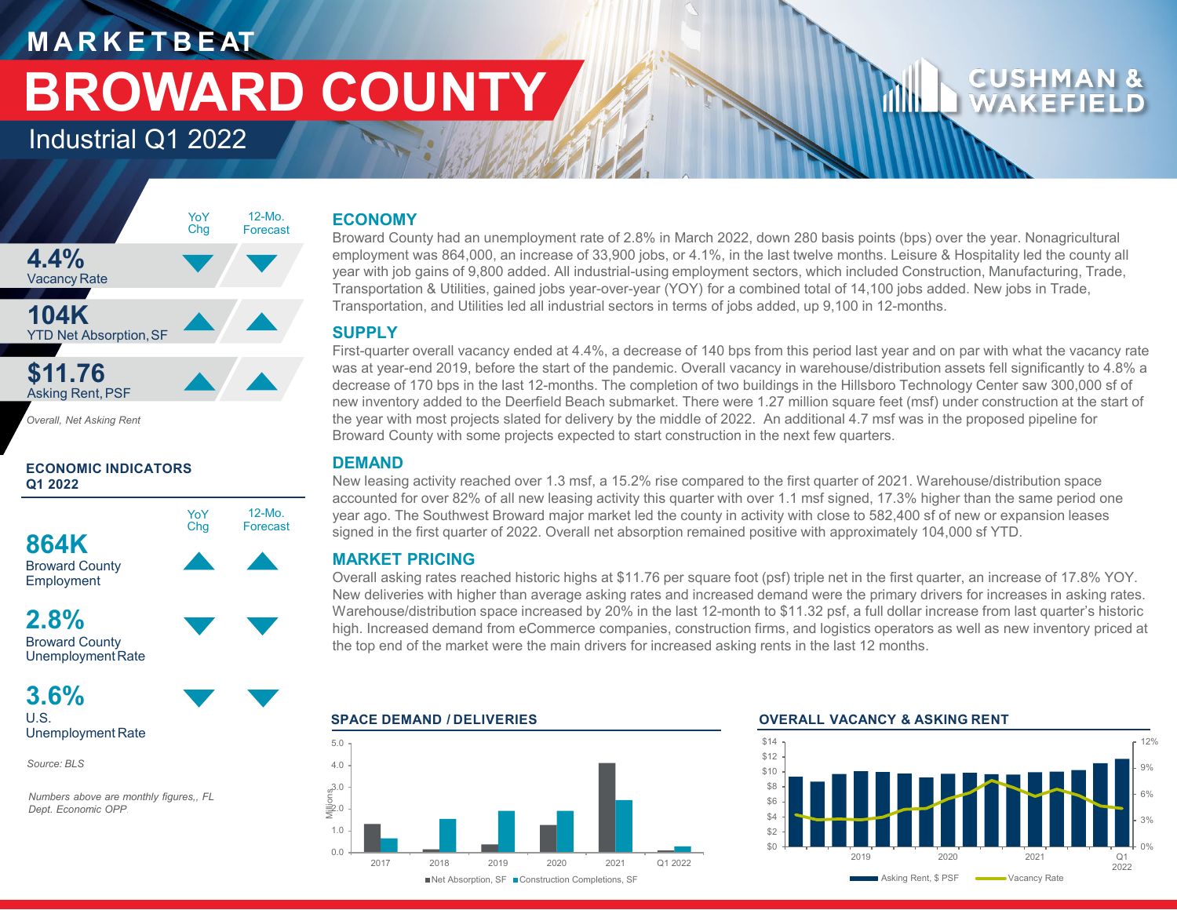## **M A R K E T B E AT BROWARD COUNTY**

Industrial Q1 2022

### **4.4%** Vacancy Rate **104K** YTD Net Absorption, SF **\$11.76 Asking Rent, PSF** YoY Chg 12-Mo. Forecast

YoY Chg

12-Mo. Forecast

*Overall, Net Asking Rent*

### **ECONOMIC INDICATORS Q1 2022**

**864K**

Broward County Employment

### **2.8%** Broward County

UnemploymentRate

### **3.6%**

U.S. Unemployment Rate

*Source: BLS*

*Numbers above are monthly figures,, FL Dept. Economic OPP*.

### **ECONOMY**

Broward County had an unemployment rate of 2.8% in March 2022, down 280 basis points (bps) over the year. Nonagricultural employment was 864,000, an increase of 33,900 jobs, or 4.1%, in the last twelve months. Leisure & Hospitality led the county all year with job gains of 9,800 added. All industrial-using employment sectors, which included Construction, Manufacturing, Trade, Transportation & Utilities, gained jobs year-over-year (YOY) for a combined total of 14,100 jobs added. New jobs in Trade, Transportation, and Utilities led all industrial sectors in terms of jobs added, up 9,100 in 12-months.

### **SUPPLY**

First-quarter overall vacancy ended at 4.4%, a decrease of 140 bps from this period last year and on par with what the vacancy rate was at year-end 2019, before the start of the pandemic. Overall vacancy in warehouse/distribution assets fell significantly to 4.8% a decrease of 170 bps in the last 12-months. The completion of two buildings in the Hillsboro Technology Center saw 300,000 sf of new inventory added to the Deerfield Beach submarket. There were 1.27 million square feet (msf) under construction at the start of the year with most projects slated for delivery by the middle of 2022. An additional 4.7 msf was in the proposed pipeline for Broward County with some projects expected to start construction in the next few quarters.

### **DEMAND**

New leasing activity reached over 1.3 msf, a 15.2% rise compared to the first quarter of 2021. Warehouse/distribution space accounted for over 82% of all new leasing activity this quarter with over 1.1 msf signed, 17.3% higher than the same period one year ago. The Southwest Broward major market led the county in activity with close to 582,400 sf of new or expansion leases signed in the first quarter of 2022. Overall net absorption remained positive with approximately 104,000 sf YTD.

### **MARKET PRICING**

Overall asking rates reached historic highs at \$11.76 per square foot (psf) triple net in the first quarter, an increase of 17.8% YOY. New deliveries with higher than average asking rates and increased demand were the primary drivers for increases in asking rates. Warehouse/distribution space increased by 20% in the last 12-month to \$11.32 psf, a full dollar increase from last quarter's historic high. Increased demand from eCommerce companies, construction firms, and logistics operators as well as new inventory priced at the top end of the market were the main drivers for increased asking rents in the last 12 months.



### **SPACE DEMAND / DELIVERIES OVERALL VACANCY & ASKING RENT**

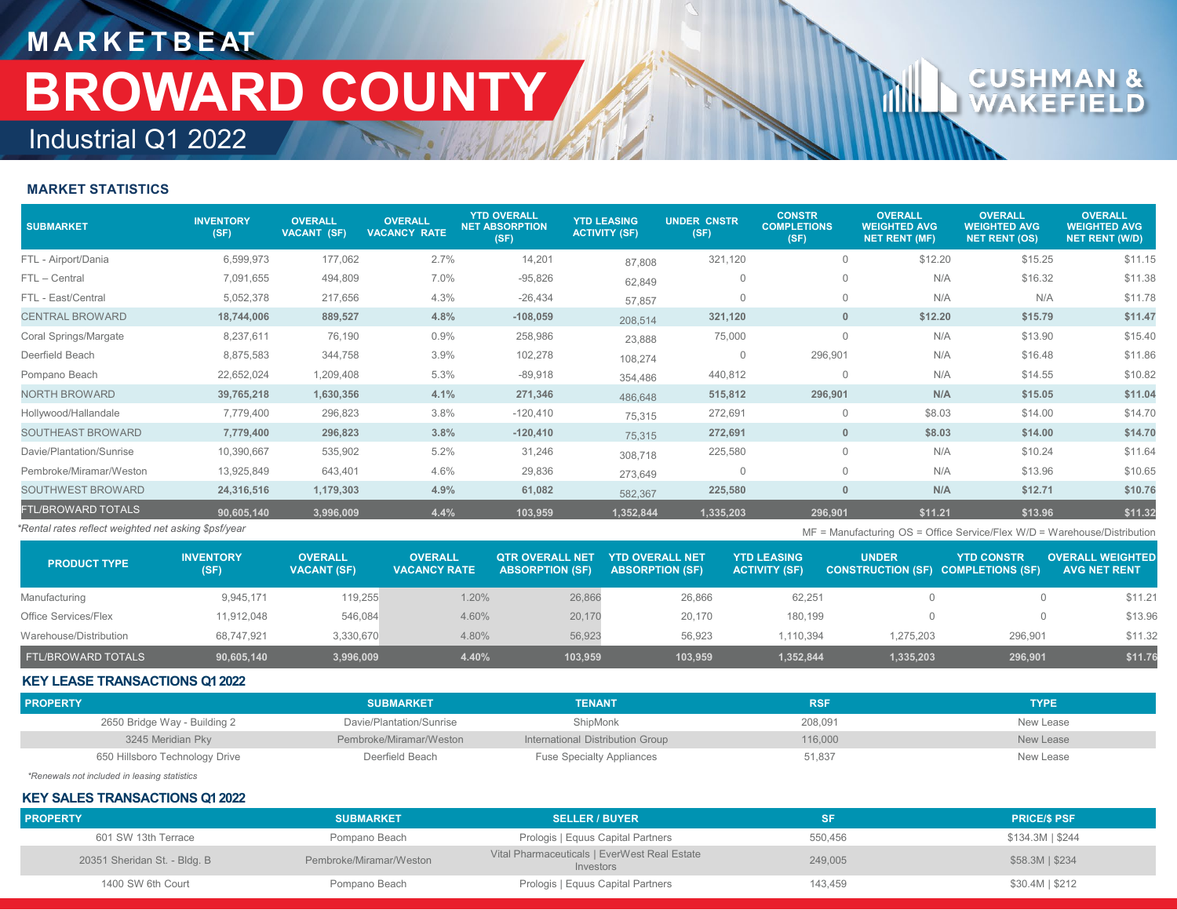## **M A R K E T B E AT** Industrial Q1 2022 **BROWARD COUNTY**

# **CLU**

### **MARKET STATISTICS**

| <b>SUBMARKET</b>                                                                                                                      | <b>INVENTORY</b><br>(SF) | <b>OVERALL</b><br>VACANT (SF) | <b>OVERALL</b><br><b>VACANCY RATE</b> | <b>YTD OVERALL</b><br><b>NET ABSORPTION</b><br>(SF) | <b>YTD LEASING</b><br><b>ACTIVITY (SF)</b> | <b>UNDER CNSTR</b><br>(SF) | <b>CONSTR</b><br><b>COMPLETIONS</b><br>(SF) | <b>OVERALL</b><br><b>WEIGHTED AVG</b><br>NET RENT (MF) | <b>OVERALL</b><br><b>WEIGHTED AVG</b><br><b>NET RENT (OS)</b> | <b>OVERALL</b><br><b>WEIGHTED AVG</b><br>NET RENT (W/D) |
|---------------------------------------------------------------------------------------------------------------------------------------|--------------------------|-------------------------------|---------------------------------------|-----------------------------------------------------|--------------------------------------------|----------------------------|---------------------------------------------|--------------------------------------------------------|---------------------------------------------------------------|---------------------------------------------------------|
| FTL - Airport/Dania                                                                                                                   | 6,599,973                | 177,062                       | 2.7%                                  | 14,201                                              | 87,808                                     | 321,120                    | $\mathbf{0}$                                | \$12.20                                                | \$15.25                                                       | \$11.15                                                 |
| FTL - Central                                                                                                                         | 7,091,655                | 494,809                       | 7.0%                                  | $-95,826$                                           | 62,849                                     | $\mathbf{0}$               | $\mathbf 0$                                 | N/A                                                    | \$16.32                                                       | \$11.38                                                 |
| FTL - East/Central                                                                                                                    | 5,052,378                | 217,656                       | 4.3%                                  | $-26,434$                                           | 57,857                                     | $\Omega$                   | $\mathbf 0$                                 | N/A                                                    | N/A                                                           | \$11.78                                                 |
| <b>CENTRAL BROWARD</b>                                                                                                                | 18,744,006               | 889,527                       | 4.8%                                  | $-108,059$                                          | 208,514                                    | 321,120                    | $\mathbf{0}$                                | \$12.20                                                | \$15.79                                                       | \$11.47                                                 |
| Coral Springs/Margate                                                                                                                 | 8,237,611                | 76,190                        | 0.9%                                  | 258,986                                             | 23,888                                     | 75,000                     | $\mathbf 0$                                 | N/A                                                    | \$13.90                                                       | \$15.40                                                 |
| Deerfield Beach                                                                                                                       | 8,875,583                | 344,758                       | 3.9%                                  | 102,278                                             | 108,274                                    | $\Omega$                   | 296,901                                     | N/A                                                    | \$16.48                                                       | \$11.86                                                 |
| Pompano Beach                                                                                                                         | 22,652,024               | 1,209,408                     | 5.3%                                  | $-89,918$                                           | 354,486                                    | 440,812                    | $\mathbf{0}$                                | N/A                                                    | \$14.55                                                       | \$10.82                                                 |
| <b>NORTH BROWARD</b>                                                                                                                  | 39,765,218               | 1,630,356                     | 4.1%                                  | 271,346                                             | 486,648                                    | 515,812                    | 296,901                                     | N/A                                                    | \$15.05                                                       | \$11.04                                                 |
| Hollywood/Hallandale                                                                                                                  | 7,779,400                | 296,823                       | 3.8%                                  | $-120,410$                                          | 75,315                                     | 272,691                    | $\mathbf 0$                                 | \$8.03                                                 | \$14.00                                                       | \$14.70                                                 |
| SOUTHEAST BROWARD                                                                                                                     | 7,779,400                | 296,823                       | 3.8%                                  | $-120,410$                                          | 75,315                                     | 272,691                    | $\mathbf{0}$                                | \$8.03                                                 | \$14.00                                                       | \$14.70                                                 |
| Davie/Plantation/Sunrise                                                                                                              | 10,390,667               | 535,902                       | 5.2%                                  | 31,246                                              | 308,718                                    | 225,580                    | $\mathbf 0$                                 | N/A                                                    | \$10.24                                                       | \$11.64                                                 |
| Pembroke/Miramar/Weston                                                                                                               | 13,925,849               | 643,401                       | 4.6%                                  | 29,836                                              | 273,649                                    | $\Omega$                   | $\mathbf{0}$                                | N/A                                                    | \$13.96                                                       | \$10.65                                                 |
| SOUTHWEST BROWARD                                                                                                                     | 24,316,516               | 1,179,303                     | 4.9%                                  | 61,082                                              | 582,367                                    | 225,580                    | $\mathbf{0}$                                | N/A                                                    | \$12.71                                                       | \$10.76                                                 |
| <b>FTL/BROWARD TOTALS</b>                                                                                                             | 90,605,140               | 3,996,009                     | 4.4%                                  | 103,959                                             | 1,352,844                                  | 1,335,203                  | 296,901                                     | \$11.21                                                | \$13.96                                                       | \$11.32                                                 |
| Rental rates reflect weighted net asking \$psf/year<br>$MF =$ Manufacturing $OS =$ Office Service/Flex $W/D =$ Warehouse/Distribution |                          |                               |                                       |                                                     |                                            |                            |                                             |                                                        |                                                               |                                                         |

| <b>PRODUCT TYPE</b>       | <b>INVENTORY</b><br>(SF) | <b>OVERALL</b><br><b>VACANT (SF)</b> | <b>OVERALL</b><br><b>VACANCY RATE</b> | <b>OTR OVERALL NET</b><br><b>ABSORPTION (SF)</b> | <b>YTD OVERALL NET</b><br><b>ABSORPTION (SF)</b> | <b>YTD LEASING</b><br><b>ACTIVITY (SF)</b> | <b>UNDER</b><br><b>CONSTRUCTION (SF) COMPLETIONS (SF)</b> | <b>YTD CONSTR</b> | <b>OVERALL WEIGHTED</b><br><b>AVG NET RENT</b> |
|---------------------------|--------------------------|--------------------------------------|---------------------------------------|--------------------------------------------------|--------------------------------------------------|--------------------------------------------|-----------------------------------------------------------|-------------------|------------------------------------------------|
| Manufacturing             | 9.945.171                | 119.255                              | 1.20%                                 | 26,866                                           | 26.866                                           | 62.251                                     |                                                           |                   | \$11.21                                        |
| Office Services/Flex      | 11.912.048               | 546,084                              | 4.60%                                 | 20,170                                           | 20.170                                           | 180.199                                    |                                                           |                   | \$13.96                                        |
| Warehouse/Distribution    | 68.747.921               | 3,330,670                            | 4.80%                                 | 56,923                                           | 56,923                                           | 1.110.394                                  | 1.275.203                                                 | 296.901           | \$11.32                                        |
| <b>FTL/BROWARD TOTALS</b> | 90,605,140               | 3.996.009                            | 4.40%                                 | 103,959                                          | 103,959                                          | 1,352,844                                  | 1,335,203                                                 | 296,901           | \$11.76                                        |

### **KEY LEASE TRANSACTIONS Q1 2022**

| <b>PROPERTY</b>                | <b>SUBMARKET</b>         | <b>TENANT</b>                    | <b>RSF</b> | <b>TYPE</b> |
|--------------------------------|--------------------------|----------------------------------|------------|-------------|
| 2650 Bridge Way - Building 2   | Davie/Plantation/Sunrise | ShipMonk                         | 208,091    | New Lease   |
| 3245 Meridian Pky              | Pembroke/Miramar/Weston  | International Distribution Group | 116.000    | New Lease   |
| 650 Hillsboro Technology Drive | Deerfield Beach          | <b>Fuse Specialty Appliances</b> | 51,837     | New Lease   |

*\*Renewals not included in leasing statistics*

### **KEY SALES TRANSACTIONS Q1 2022**

| <b>PROPERTY</b>              | <b>SUBMARKET</b>        | <b>SELLER / BUYER</b>                                     |         | <b>PRICE/\$ PSF</b> |
|------------------------------|-------------------------|-----------------------------------------------------------|---------|---------------------|
| 601 SW 13th Terrace          | Pompano Beach           | Prologis   Equus Capital Partners                         | 550.456 | \$134.3M   \$244    |
| 20351 Sheridan St. - Bldg. B | Pembroke/Miramar/Weston | Vital Pharmaceuticals   EverWest Real Estate<br>Investors | 249,005 | $$58.3M$   \$234    |
| 1400 SW 6th Court            | Pompano Beach           | Prologis   Equus Capital Partners                         | 143.459 | \$30.4M   \$212     |